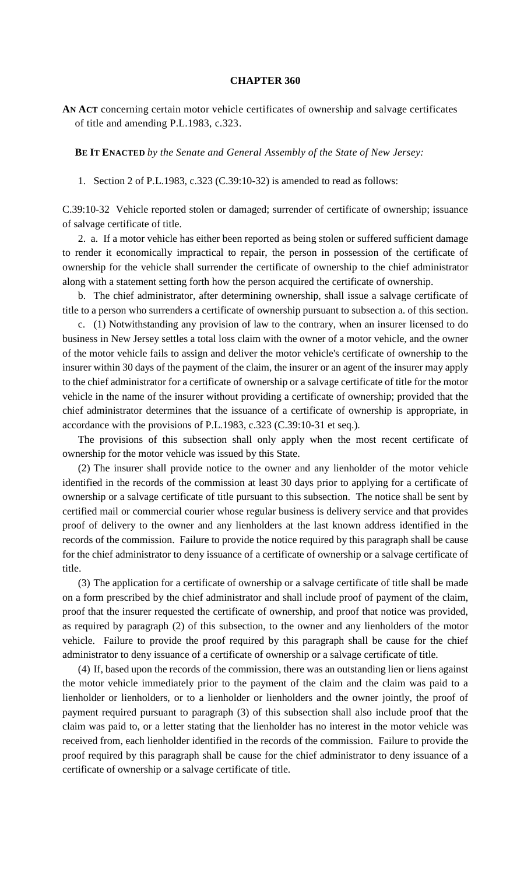## **CHAPTER 360**

**AN ACT** concerning certain motor vehicle certificates of ownership and salvage certificates of title and amending P.L.1983, c.323.

**BE IT ENACTED** *by the Senate and General Assembly of the State of New Jersey:*

1. Section 2 of P.L.1983, c.323 (C.39:10-32) is amended to read as follows:

C.39:10-32 Vehicle reported stolen or damaged; surrender of certificate of ownership; issuance of salvage certificate of title.

2. a. If a motor vehicle has either been reported as being stolen or suffered sufficient damage to render it economically impractical to repair, the person in possession of the certificate of ownership for the vehicle shall surrender the certificate of ownership to the chief administrator along with a statement setting forth how the person acquired the certificate of ownership.

b. The chief administrator, after determining ownership, shall issue a salvage certificate of title to a person who surrenders a certificate of ownership pursuant to subsection a. of this section.

c. (1) Notwithstanding any provision of law to the contrary, when an insurer licensed to do business in New Jersey settles a total loss claim with the owner of a motor vehicle, and the owner of the motor vehicle fails to assign and deliver the motor vehicle's certificate of ownership to the insurer within 30 days of the payment of the claim, the insurer or an agent of the insurer may apply to the chief administrator for a certificate of ownership or a salvage certificate of title for the motor vehicle in the name of the insurer without providing a certificate of ownership; provided that the chief administrator determines that the issuance of a certificate of ownership is appropriate, in accordance with the provisions of P.L.1983, c.323 (C.39:10-31 et seq.).

The provisions of this subsection shall only apply when the most recent certificate of ownership for the motor vehicle was issued by this State.

(2) The insurer shall provide notice to the owner and any lienholder of the motor vehicle identified in the records of the commission at least 30 days prior to applying for a certificate of ownership or a salvage certificate of title pursuant to this subsection. The notice shall be sent by certified mail or commercial courier whose regular business is delivery service and that provides proof of delivery to the owner and any lienholders at the last known address identified in the records of the commission. Failure to provide the notice required by this paragraph shall be cause for the chief administrator to deny issuance of a certificate of ownership or a salvage certificate of title.

(3) The application for a certificate of ownership or a salvage certificate of title shall be made on a form prescribed by the chief administrator and shall include proof of payment of the claim, proof that the insurer requested the certificate of ownership, and proof that notice was provided, as required by paragraph (2) of this subsection, to the owner and any lienholders of the motor vehicle. Failure to provide the proof required by this paragraph shall be cause for the chief administrator to deny issuance of a certificate of ownership or a salvage certificate of title.

(4) If, based upon the records of the commission, there was an outstanding lien or liens against the motor vehicle immediately prior to the payment of the claim and the claim was paid to a lienholder or lienholders, or to a lienholder or lienholders and the owner jointly, the proof of payment required pursuant to paragraph (3) of this subsection shall also include proof that the claim was paid to, or a letter stating that the lienholder has no interest in the motor vehicle was received from, each lienholder identified in the records of the commission. Failure to provide the proof required by this paragraph shall be cause for the chief administrator to deny issuance of a certificate of ownership or a salvage certificate of title.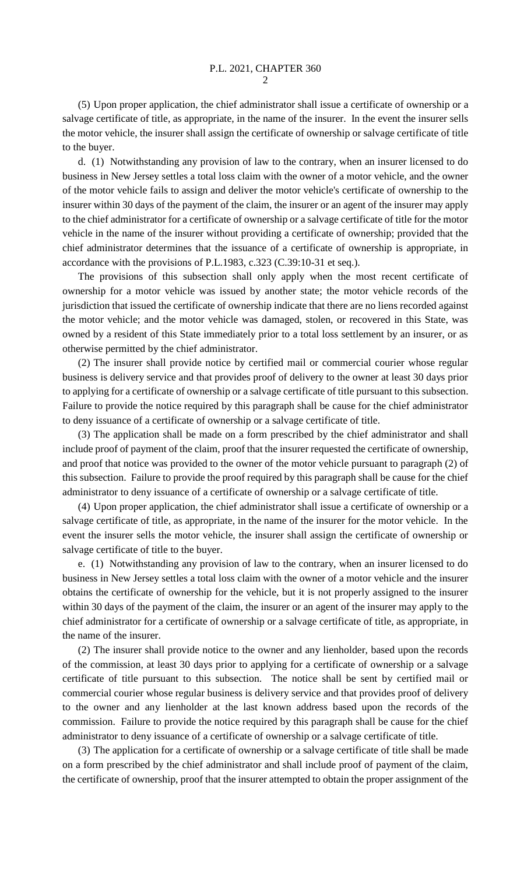(5) Upon proper application, the chief administrator shall issue a certificate of ownership or a salvage certificate of title, as appropriate, in the name of the insurer. In the event the insurer sells the motor vehicle, the insurer shall assign the certificate of ownership or salvage certificate of title to the buyer.

d. (1) Notwithstanding any provision of law to the contrary, when an insurer licensed to do business in New Jersey settles a total loss claim with the owner of a motor vehicle, and the owner of the motor vehicle fails to assign and deliver the motor vehicle's certificate of ownership to the insurer within 30 days of the payment of the claim, the insurer or an agent of the insurer may apply to the chief administrator for a certificate of ownership or a salvage certificate of title for the motor vehicle in the name of the insurer without providing a certificate of ownership; provided that the chief administrator determines that the issuance of a certificate of ownership is appropriate, in accordance with the provisions of P.L.1983, c.323 (C.39:10-31 et seq.).

The provisions of this subsection shall only apply when the most recent certificate of ownership for a motor vehicle was issued by another state; the motor vehicle records of the jurisdiction that issued the certificate of ownership indicate that there are no liens recorded against the motor vehicle; and the motor vehicle was damaged, stolen, or recovered in this State, was owned by a resident of this State immediately prior to a total loss settlement by an insurer, or as otherwise permitted by the chief administrator.

(2) The insurer shall provide notice by certified mail or commercial courier whose regular business is delivery service and that provides proof of delivery to the owner at least 30 days prior to applying for a certificate of ownership or a salvage certificate of title pursuant to this subsection. Failure to provide the notice required by this paragraph shall be cause for the chief administrator to deny issuance of a certificate of ownership or a salvage certificate of title.

(3) The application shall be made on a form prescribed by the chief administrator and shall include proof of payment of the claim, proof that the insurer requested the certificate of ownership, and proof that notice was provided to the owner of the motor vehicle pursuant to paragraph (2) of this subsection. Failure to provide the proof required by this paragraph shall be cause for the chief administrator to deny issuance of a certificate of ownership or a salvage certificate of title.

(4) Upon proper application, the chief administrator shall issue a certificate of ownership or a salvage certificate of title, as appropriate, in the name of the insurer for the motor vehicle. In the event the insurer sells the motor vehicle, the insurer shall assign the certificate of ownership or salvage certificate of title to the buyer.

e. (1) Notwithstanding any provision of law to the contrary, when an insurer licensed to do business in New Jersey settles a total loss claim with the owner of a motor vehicle and the insurer obtains the certificate of ownership for the vehicle, but it is not properly assigned to the insurer within 30 days of the payment of the claim, the insurer or an agent of the insurer may apply to the chief administrator for a certificate of ownership or a salvage certificate of title, as appropriate, in the name of the insurer.

(2) The insurer shall provide notice to the owner and any lienholder, based upon the records of the commission, at least 30 days prior to applying for a certificate of ownership or a salvage certificate of title pursuant to this subsection. The notice shall be sent by certified mail or commercial courier whose regular business is delivery service and that provides proof of delivery to the owner and any lienholder at the last known address based upon the records of the commission. Failure to provide the notice required by this paragraph shall be cause for the chief administrator to deny issuance of a certificate of ownership or a salvage certificate of title.

(3) The application for a certificate of ownership or a salvage certificate of title shall be made on a form prescribed by the chief administrator and shall include proof of payment of the claim, the certificate of ownership, proof that the insurer attempted to obtain the proper assignment of the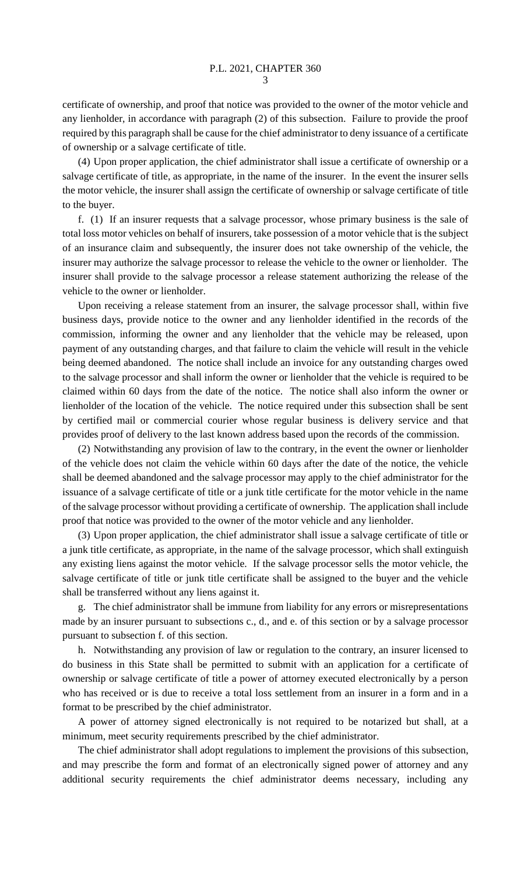certificate of ownership, and proof that notice was provided to the owner of the motor vehicle and any lienholder, in accordance with paragraph (2) of this subsection. Failure to provide the proof required by this paragraph shall be cause for the chief administrator to deny issuance of a certificate of ownership or a salvage certificate of title.

(4) Upon proper application, the chief administrator shall issue a certificate of ownership or a salvage certificate of title, as appropriate, in the name of the insurer. In the event the insurer sells the motor vehicle, the insurer shall assign the certificate of ownership or salvage certificate of title to the buyer.

f. (1) If an insurer requests that a salvage processor, whose primary business is the sale of total loss motor vehicles on behalf of insurers, take possession of a motor vehicle that is the subject of an insurance claim and subsequently, the insurer does not take ownership of the vehicle, the insurer may authorize the salvage processor to release the vehicle to the owner or lienholder. The insurer shall provide to the salvage processor a release statement authorizing the release of the vehicle to the owner or lienholder.

Upon receiving a release statement from an insurer, the salvage processor shall, within five business days, provide notice to the owner and any lienholder identified in the records of the commission, informing the owner and any lienholder that the vehicle may be released, upon payment of any outstanding charges, and that failure to claim the vehicle will result in the vehicle being deemed abandoned. The notice shall include an invoice for any outstanding charges owed to the salvage processor and shall inform the owner or lienholder that the vehicle is required to be claimed within 60 days from the date of the notice. The notice shall also inform the owner or lienholder of the location of the vehicle. The notice required under this subsection shall be sent by certified mail or commercial courier whose regular business is delivery service and that provides proof of delivery to the last known address based upon the records of the commission.

(2) Notwithstanding any provision of law to the contrary, in the event the owner or lienholder of the vehicle does not claim the vehicle within 60 days after the date of the notice, the vehicle shall be deemed abandoned and the salvage processor may apply to the chief administrator for the issuance of a salvage certificate of title or a junk title certificate for the motor vehicle in the name of the salvage processor without providing a certificate of ownership. The application shall include proof that notice was provided to the owner of the motor vehicle and any lienholder.

(3) Upon proper application, the chief administrator shall issue a salvage certificate of title or a junk title certificate, as appropriate, in the name of the salvage processor, which shall extinguish any existing liens against the motor vehicle. If the salvage processor sells the motor vehicle, the salvage certificate of title or junk title certificate shall be assigned to the buyer and the vehicle shall be transferred without any liens against it.

g. The chief administrator shall be immune from liability for any errors or misrepresentations made by an insurer pursuant to subsections c., d., and e. of this section or by a salvage processor pursuant to subsection f. of this section.

h. Notwithstanding any provision of law or regulation to the contrary, an insurer licensed to do business in this State shall be permitted to submit with an application for a certificate of ownership or salvage certificate of title a power of attorney executed electronically by a person who has received or is due to receive a total loss settlement from an insurer in a form and in a format to be prescribed by the chief administrator.

A power of attorney signed electronically is not required to be notarized but shall, at a minimum, meet security requirements prescribed by the chief administrator.

The chief administrator shall adopt regulations to implement the provisions of this subsection, and may prescribe the form and format of an electronically signed power of attorney and any additional security requirements the chief administrator deems necessary, including any